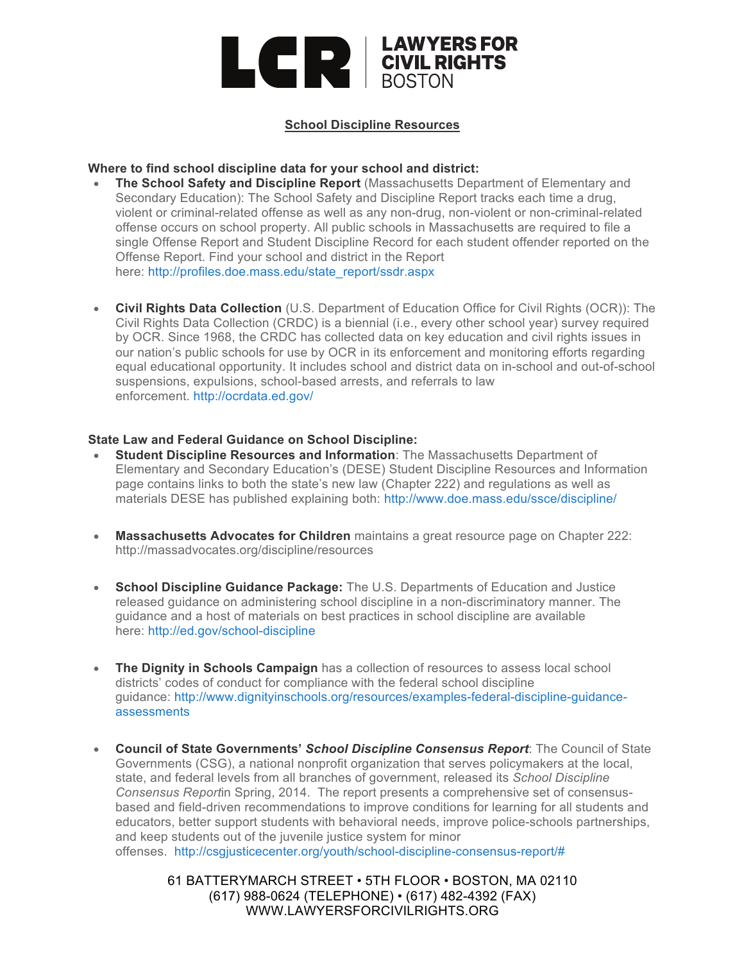

# **School Discipline Resources**

#### **Where to find school discipline data for your school and district:**

- **The School Safety and Discipline Report** (Massachusetts Department of Elementary and Secondary Education): The School Safety and Discipline Report tracks each time a drug, violent or criminal-related offense as well as any non-drug, non-violent or non-criminal-related offense occurs on school property. All public schools in Massachusetts are required to file a single Offense Report and Student Discipline Record for each student offender reported on the Offense Report. Find your school and district in the Report here: http://profiles.doe.mass.edu/state\_report/ssdr.aspx
- **Civil Rights Data Collection** (U.S. Department of Education Office for Civil Rights (OCR)): The Civil Rights Data Collection (CRDC) is a biennial (i.e., every other school year) survey required by OCR. Since 1968, the CRDC has collected data on key education and civil rights issues in our nation's public schools for use by OCR in its enforcement and monitoring efforts regarding equal educational opportunity. It includes school and district data on in-school and out-of-school suspensions, expulsions, school-based arrests, and referrals to law enforcement. http://ocrdata.ed.gov/

### **State Law and Federal Guidance on School Discipline:**

- **Student Discipline Resources and Information**: The Massachusetts Department of Elementary and Secondary Education's (DESE) Student Discipline Resources and Information page contains links to both the state's new law (Chapter 222) and regulations as well as materials DESE has published explaining both: http://www.doe.mass.edu/ssce/discipline/
- **Massachusetts Advocates for Children** maintains a great resource page on Chapter 222: http://massadvocates.org/discipline/resources
- **School Discipline Guidance Package:** The U.S. Departments of Education and Justice released guidance on administering school discipline in a non-discriminatory manner. The guidance and a host of materials on best practices in school discipline are available here: http://ed.gov/school-discipline
- **The Dignity in Schools Campaign** has a collection of resources to assess local school districts' codes of conduct for compliance with the federal school discipline guidance: http://www.dignityinschools.org/resources/examples-federal-discipline-guidanceassessments
- **Council of State Governments'** *School Discipline Consensus Report*: The Council of State Governments (CSG), a national nonprofit organization that serves policymakers at the local, state, and federal levels from all branches of government, released its *School Discipline Consensus Report*in Spring, 2014. The report presents a comprehensive set of consensusbased and field-driven recommendations to improve conditions for learning for all students and educators, better support students with behavioral needs, improve police-schools partnerships, and keep students out of the juvenile justice system for minor offenses. http://csgjusticecenter.org/youth/school-discipline-consensus-report/#

61 BATTERYMARCH STREET • 5TH FLOOR • BOSTON, MA 02110 (617) 988-0624 (TELEPHONE) • (617) 482-4392 (FAX) WWW.LAWYERSFORCIVILRIGHTS.ORG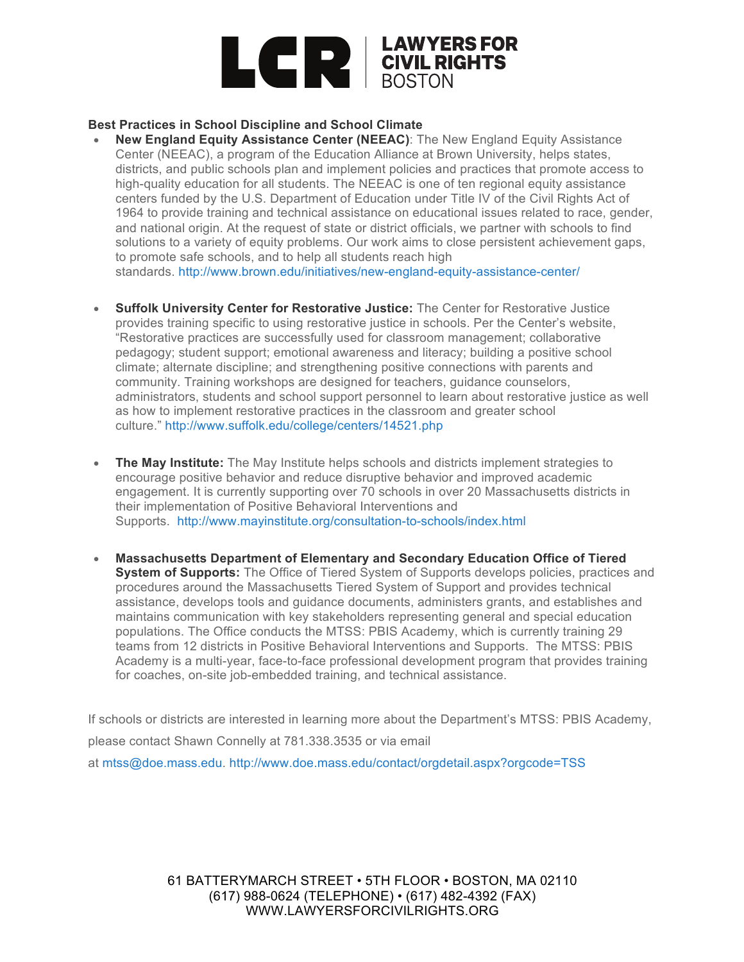

## **Best Practices in School Discipline and School Climate**

- **New England Equity Assistance Center (NEEAC)**: The New England Equity Assistance Center (NEEAC), a program of the Education Alliance at Brown University, helps states, districts, and public schools plan and implement policies and practices that promote access to high-quality education for all students. The NEEAC is one of ten regional equity assistance centers funded by the U.S. Department of Education under Title IV of the Civil Rights Act of 1964 to provide training and technical assistance on educational issues related to race, gender, and national origin. At the request of state or district officials, we partner with schools to find solutions to a variety of equity problems. Our work aims to close persistent achievement gaps, to promote safe schools, and to help all students reach high standards. http://www.brown.edu/initiatives/new-england-equity-assistance-center/
- **Suffolk University Center for Restorative Justice:** The Center for Restorative Justice provides training specific to using restorative justice in schools. Per the Center's website, "Restorative practices are successfully used for classroom management; collaborative pedagogy; student support; emotional awareness and literacy; building a positive school climate; alternate discipline; and strengthening positive connections with parents and community. Training workshops are designed for teachers, guidance counselors, administrators, students and school support personnel to learn about restorative justice as well as how to implement restorative practices in the classroom and greater school culture." http://www.suffolk.edu/college/centers/14521.php
- **The May Institute:** The May Institute helps schools and districts implement strategies to encourage positive behavior and reduce disruptive behavior and improved academic engagement. It is currently supporting over 70 schools in over 20 Massachusetts districts in their implementation of Positive Behavioral Interventions and Supports. http://www.mayinstitute.org/consultation-to-schools/index.html
- **Massachusetts Department of Elementary and Secondary Education Office of Tiered System of Supports:** The Office of Tiered System of Supports develops policies, practices and procedures around the Massachusetts Tiered System of Support and provides technical assistance, develops tools and guidance documents, administers grants, and establishes and maintains communication with key stakeholders representing general and special education populations. The Office conducts the MTSS: PBIS Academy, which is currently training 29 teams from 12 districts in Positive Behavioral Interventions and Supports. The MTSS: PBIS Academy is a multi-year, face-to-face professional development program that provides training for coaches, on-site job-embedded training, and technical assistance.

If schools or districts are interested in learning more about the Department's MTSS: PBIS Academy, please contact Shawn Connelly at 781.338.3535 or via email

at mtss@doe.mass.edu. http://www.doe.mass.edu/contact/orgdetail.aspx?orgcode=TSS

61 BATTERYMARCH STREET • 5TH FLOOR • BOSTON, MA 02110 (617) 988-0624 (TELEPHONE) • (617) 482-4392 (FAX) WWW LAWYERSFORCIVIL RIGHTS ORG